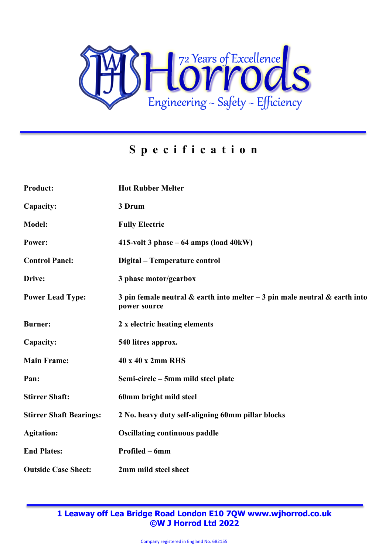

## **Specification**

| <b>Product:</b>                | <b>Hot Rubber Melter</b>                                                                          |
|--------------------------------|---------------------------------------------------------------------------------------------------|
| Capacity:                      | 3 Drum                                                                                            |
| <b>Model:</b>                  | <b>Fully Electric</b>                                                                             |
| Power:                         | 415-volt 3 phase $-64$ amps (load $40kW$ )                                                        |
| <b>Control Panel:</b>          | Digital - Temperature control                                                                     |
| Drive:                         | 3 phase motor/gearbox                                                                             |
| <b>Power Lead Type:</b>        | 3 pin female neutral $\&$ earth into melter $-3$ pin male neutral $\&$ earth into<br>power source |
| <b>Burner:</b>                 | 2 x electric heating elements                                                                     |
| Capacity:                      | 540 litres approx.                                                                                |
| <b>Main Frame:</b>             | 40 x 40 x 2mm RHS                                                                                 |
| Pan:                           | Semi-circle – 5mm mild steel plate                                                                |
| <b>Stirrer Shaft:</b>          | 60mm bright mild steel                                                                            |
| <b>Stirrer Shaft Bearings:</b> | 2 No. heavy duty self-aligning 60mm pillar blocks                                                 |
| <b>Agitation:</b>              | <b>Oscillating continuous paddle</b>                                                              |
| <b>End Plates:</b>             | Profiled – 6mm                                                                                    |
| <b>Outside Case Sheet:</b>     | 2mm mild steel sheet                                                                              |

**1 Leaway off Lea Bridge Road London E10 7QW www.wjhorrod.co.uk ©W J Horrod Ltd 2022**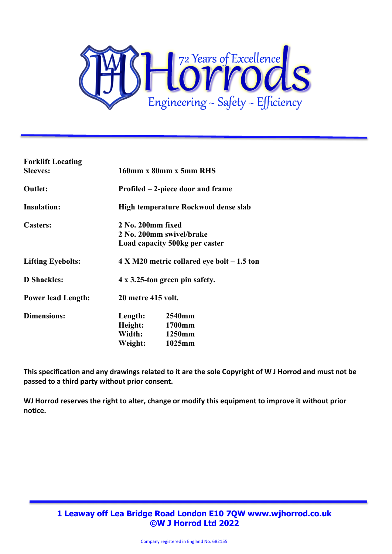

| <b>Forklift Locating</b>  |                                               |                |
|---------------------------|-----------------------------------------------|----------------|
| <b>Sleeves:</b>           | 160mm x 80mm x 5mm RHS                        |                |
| <b>Outlet:</b>            | Profiled – 2-piece door and frame             |                |
| <b>Insulation:</b>        | High temperature Rockwool dense slab          |                |
| <b>Casters:</b>           | 2 No. 200mm fixed                             |                |
|                           | 2 No. 200mm swivel/brake                      |                |
|                           | Load capacity 500kg per caster                |                |
| <b>Lifting Eyebolts:</b>  | $4 X M20$ metric collared eye bolt $-1.5$ ton |                |
| <b>D</b> Shackles:        | 4 x 3.25-ton green pin safety.                |                |
| <b>Power lead Length:</b> | 20 metre 415 volt.                            |                |
| <b>Dimensions:</b>        | Length:                                       | 2540mm         |
|                           |                                               | Height: 1700mm |
|                           |                                               | Width: 1250mm  |
|                           |                                               | Weight: 1025mm |
|                           |                                               |                |

**This specification and any drawings related to it are the sole Copyright of W J Horrod and must not be passed to a third party without prior consent.**

**WJ Horrod reserves the right to alter, change or modify this equipment to improve it without prior notice.**

> **1 Leaway off Lea Bridge Road London E10 7QW www.wjhorrod.co.uk ©W J Horrod Ltd 2022**